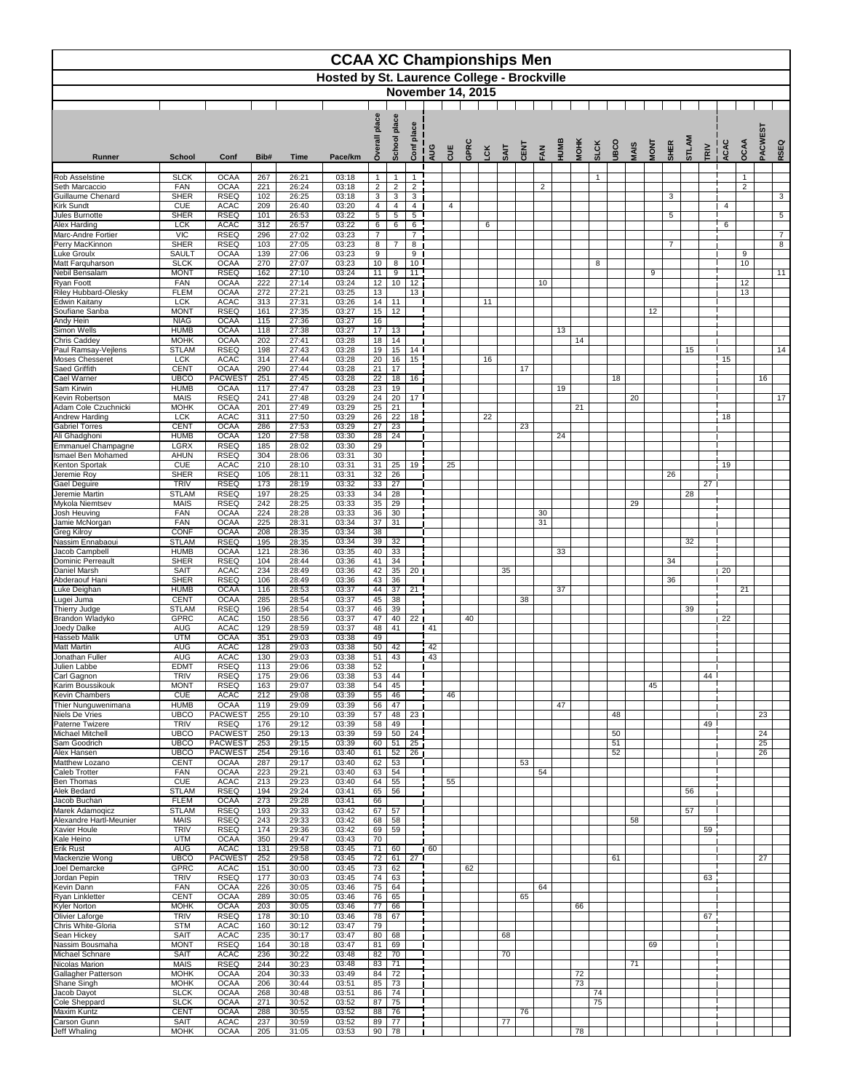|                                                  | <b>CCAA XC Championships Men</b><br><b>Hosted by St. Laurence College - Brockville</b><br><b>November 14, 2015</b> |                                  |            |                |                |                                |                                            |                                    |            |                          |      |            |             |      |          |      |             |              |             |             |             |                |       |                   |      |                                |                 |                 |
|--------------------------------------------------|--------------------------------------------------------------------------------------------------------------------|----------------------------------|------------|----------------|----------------|--------------------------------|--------------------------------------------|------------------------------------|------------|--------------------------|------|------------|-------------|------|----------|------|-------------|--------------|-------------|-------------|-------------|----------------|-------|-------------------|------|--------------------------------|-----------------|-----------------|
|                                                  |                                                                                                                    |                                  |            |                |                | place<br>erall                 | place<br><b>School</b>                     | place                              |            |                          |      |            |             |      |          |      |             |              |             |             |             |                | STLAM |                   |      |                                | <b>PACWEST</b>  |                 |
| <b>Runner</b>                                    | <b>School</b>                                                                                                      | Conf                             | Bib#       | <b>Time</b>    | Pace/km        | Š                              |                                            | Conf                               | AUG        | <b>UUE</b>               | GPRC | <b>LCK</b> | <b>SAIT</b> | CENT | FAN      | HUMB | <b>MOHK</b> | <b>SLCK</b>  | <b>UBCO</b> | <b>MAIS</b> | <b>MONT</b> | <b>SHER</b>    |       | TRIV              | ACAC | OCAA                           |                 | RSEQ            |
| <b>Rob Asselstine</b><br>Seth Marcaccio          | <b>SLCK</b><br><b>FAN</b>                                                                                          | <b>OCAA</b><br><b>OCAA</b>       | 267<br>221 | 26:21<br>26:24 | 03:18<br>03:18 | $\mathbf{1}$<br>$\overline{2}$ | $\overline{\phantom{a}}$<br>$\overline{c}$ | $\overline{1}$<br>$\sqrt{2}$       |            |                          |      |            |             |      | 2        |      |             | $\mathbf{1}$ |             |             |             |                |       |                   |      | $\mathbf{1}$<br>$\overline{c}$ |                 |                 |
| <b>Guillaume Chenard</b><br><b>Kirk Sundt</b>    | <b>SHER</b><br><b>CUE</b>                                                                                          | <b>RSEQ</b><br><b>ACAC</b>       | 102<br>209 | 26:25<br>26:40 | 03:18<br>03:20 | 3<br>$\overline{4}$            | $\sqrt{3}$<br>4                            | $\mathbf{3}$<br>$\overline{4}$     |            | $\overline{\mathcal{A}}$ |      |            |             |      |          |      |             |              |             |             |             | 3              |       |                   | 4    |                                |                 | $\mathbf{3}$    |
| Jules Burnotte                                   | <b>SHER</b>                                                                                                        | <b>RSEQ</b>                      | 101        | 26:53          | 03:22          | $5\phantom{.0}$                | 5                                          | 5                                  |            |                          |      |            |             |      |          |      |             |              |             |             |             | 5              |       |                   |      |                                |                 | $5\phantom{.0}$ |
| <b>Alex Harding</b><br>Marc-Andre Fortier        | <b>LCK</b><br><b>VIC</b>                                                                                           | <b>ACAC</b><br><b>RSEQ</b>       | 312<br>296 | 26:57<br>27:02 | 03:22<br>03:23 | $6^{\circ}$<br>$\overline{7}$  | $6\phantom{1}$                             | $\,6\,$<br>$\overline{7}$          |            |                          |      | 6          |             |      |          |      |             |              |             |             |             |                |       |                   | 6    |                                |                 | $\overline{7}$  |
| Perry MacKinnon<br><b>Luke Groulx</b>            | <b>SHER</b><br><b>SAULT</b>                                                                                        | <b>RSEQ</b><br><b>OCAA</b>       | 103<br>139 | 27:05<br>27:06 | 03:23<br>03:23 | 8<br>9                         | $\overline{7}$                             | 8<br>9                             |            |                          |      |            |             |      |          |      |             |              |             |             |             | $\overline{7}$ |       |                   |      | 9                              |                 | 8               |
| Matt Farquharson<br>Nebil Bensalam               | <b>SLCK</b><br><b>MONT</b>                                                                                         | <b>OCAA</b><br><b>RSEQ</b>       | 270<br>162 | 27:07<br>27:10 | 03:23<br>03:24 | 10 <sup>°</sup><br>11          | 8<br>$\boldsymbol{9}$                      | 10 <sup>1</sup><br>11              |            |                          |      |            |             |      |          |      |             | 8            |             |             | 9           |                |       |                   |      | 10                             |                 | 11              |
| <b>Ryan Foott</b><br><b>Riley Hubbard-Olesky</b> | <b>FAN</b><br><b>FLEM</b>                                                                                          | <b>OCAA</b><br><b>OCAA</b>       | 222<br>272 | 27:14<br>27:21 | 03:24<br>03:25 | 12<br>13                       | 10                                         | 12<br>13 <sub>1</sub>              |            |                          |      |            |             |      | 10       |      |             |              |             |             |             |                |       |                   |      | 12<br>13                       |                 |                 |
| <b>Edwin Kaitany</b>                             | <b>LCK</b>                                                                                                         | <b>ACAC</b>                      | 313        | 27:31          | 03:26          | 14                             | 11                                         |                                    |            |                          |      | 11         |             |      |          |      |             |              |             |             |             |                |       |                   |      |                                |                 |                 |
| Soufiane Sanba<br>Andy Hein                      | <b>MONT</b><br><b>NIAG</b>                                                                                         | <b>RSEQ</b><br><b>OCAA</b>       | 161<br>115 | 27:35<br>27:36 | 03:27<br>03:27 | 15 <sub>1</sub><br>16          | 12                                         |                                    |            |                          |      |            |             |      |          |      |             |              |             |             | 12          |                |       |                   |      |                                |                 |                 |
| Simon Wells<br><b>Chris Caddey</b>               | <b>HUMB</b><br><b>MOHK</b>                                                                                         | <b>OCAA</b><br><b>OCAA</b>       | 118<br>202 | 27:38<br>27:41 | 03:27<br>03:28 | 17 <sup>17</sup><br>18         | 13<br>14                                   |                                    |            |                          |      |            |             |      |          | 13   | 14          |              |             |             |             |                |       |                   |      |                                |                 |                 |
| Paul Ramsay-Vejlens<br><b>Moses Chesseret</b>    | <b>STLAM</b><br><b>LCK</b>                                                                                         | <b>RSEQ</b><br><b>ACAC</b>       | 198<br>314 | 27:43<br>27:44 | 03:28<br>03:28 | 19<br>20                       | 15<br>16                                   | 14 <sup>1</sup><br>15 <sup>1</sup> |            |                          |      | 16         |             |      |          |      |             |              |             |             |             |                | 15    |                   | 15   |                                |                 | 14              |
| <b>Saed Griffith</b>                             | <b>CENT</b>                                                                                                        | <b>OCAA</b>                      | 290        | 27:44          | 03:28          | 21                             | 17                                         |                                    |            |                          |      |            |             | 17   |          |      |             |              |             |             |             |                |       |                   |      |                                |                 |                 |
| <b>Cael Warner</b><br>Sam Kirwin                 | <b>UBCO</b><br><b>HUMB</b>                                                                                         | <b>PACWEST</b><br><b>OCAA</b>    | 251<br>117 | 27:45<br>27:47 | 03:28<br>03:28 | 22<br>23                       | 18<br>19                                   | 16                                 |            |                          |      |            |             |      |          | 19   |             |              | 18          |             |             |                |       |                   |      |                                | 16              |                 |
| Kevin Robertson<br>Adam Cole Czuchnicki          | <b>MAIS</b><br><b>MOHK</b>                                                                                         | <b>RSEQ</b><br><b>OCAA</b>       | 241<br>201 | 27:48<br>27:49 | 03:29<br>03:29 | 24<br>25                       | 20<br>21                                   | 17 <sup>1</sup>                    |            |                          |      |            |             |      |          |      | 21          |              |             | 20          |             |                |       |                   |      |                                |                 | 17              |
| Andrew Harding                                   | <b>LCK</b>                                                                                                         | <b>ACAC</b>                      | 311        | 27:50          | 03:29          | 26                             | 22                                         | 18                                 |            |                          |      | 22         |             |      |          |      |             |              |             |             |             |                |       |                   | 18   |                                |                 |                 |
| <b>Gabriel Torres</b><br>Ali Ghadghoni           | <b>CENT</b><br><b>HUMB</b>                                                                                         | <b>OCAA</b><br><b>OCAA</b>       | 286<br>120 | 27:53<br>27:58 | 03:29<br>03:30 | 27<br>28                       | 23<br>24                                   |                                    |            |                          |      |            |             | 23   |          | 24   |             |              |             |             |             |                |       |                   |      |                                |                 |                 |
| <b>Emmanuel Champagne</b><br>Ismael Ben Mohamed  | <b>LGRX</b><br><b>AHUN</b>                                                                                         | <b>RSEQ</b><br><b>RSEQ</b>       | 185<br>304 | 28:02<br>28:06 | 03:30<br>03:31 | 29<br>30                       |                                            |                                    |            |                          |      |            |             |      |          |      |             |              |             |             |             |                |       |                   |      |                                |                 |                 |
| Kenton Sportak<br>Jeremie Roy                    | <b>CUE</b><br><b>SHER</b>                                                                                          | <b>ACAC</b><br><b>RSEQ</b>       | 210<br>105 | 28:10<br>28:11 | 03:31<br>03:31 | 31<br>32                       | 25<br>26                                   | 19                                 |            | 25                       |      |            |             |      |          |      |             |              |             |             |             | 26             |       |                   | 19   |                                |                 |                 |
| <b>Gael Deguire</b>                              | <b>TRIV</b>                                                                                                        | <b>RSEQ</b>                      | 173        | 28:19          | 03:32          | 33                             | 27                                         |                                    |            |                          |      |            |             |      |          |      |             |              |             |             |             |                |       | 27                |      |                                |                 |                 |
| Jeremie Martin<br>Mykola Niemtsev                | <b>STLAM</b><br><b>MAIS</b>                                                                                        | <b>RSEQ</b><br><b>RSEQ</b>       | 197<br>242 | 28:25<br>28:25 | 03:33<br>03:33 | 34<br>35                       | 28<br>29                                   |                                    |            |                          |      |            |             |      |          |      |             |              |             | 29          |             |                | 28    |                   |      |                                |                 |                 |
| Josh Heuving<br>Jamie McNorgan                   | <b>FAN</b><br><b>FAN</b>                                                                                           | <b>OCAA</b><br><b>OCAA</b>       | 224<br>225 | 28:28<br>28:31 | 03:33<br>03:34 | 36<br>37                       | 30<br>31                                   |                                    |            |                          |      |            |             |      | 30<br>31 |      |             |              |             |             |             |                |       |                   |      |                                |                 |                 |
| <b>Greg Kilroy</b>                               | <b>CONF</b>                                                                                                        | <b>OCAA</b>                      | 208        | 28:35          | 03:34          | 38                             |                                            |                                    |            |                          |      |            |             |      |          |      |             |              |             |             |             |                |       |                   |      |                                |                 |                 |
| Nassim Ennabaoui<br>Jacob Campbell               | <b>STLAM</b><br><b>HUMB</b>                                                                                        | <b>RSEQ</b><br><b>OCAA</b>       | 195<br>121 | 28:35<br>28:36 | 03:34<br>03:35 | 39<br>40                       | 32<br>33                                   |                                    |            |                          |      |            |             |      |          | 33   |             |              |             |             |             |                | 32    |                   |      |                                |                 |                 |
| <b>Dominic Perreault</b><br>Daniel Marsh         | <b>SHER</b><br><b>SAIT</b>                                                                                         | <b>RSEQ</b><br><b>ACAC</b>       | 104<br>234 | 28:44<br>28:49 | 03:36<br>03:36 | 41<br>42                       | 34<br>35                                   | 20 <sub>1</sub>                    |            |                          |      |            | 35          |      |          |      |             |              |             |             |             | 34             |       |                   | 20   |                                |                 |                 |
| Abderaouf Hani<br>Luke Deighan                   | <b>SHER</b><br><b>HUMB</b>                                                                                         | <b>RSEQ</b><br><b>OCAA</b>       | 106<br>116 | 28:49<br>28:53 | 03:36<br>03:37 | 43<br>44                       | 36<br>37                                   | 21                                 |            |                          |      |            |             |      |          | 37   |             |              |             |             |             | 36             |       |                   |      | 21                             |                 |                 |
| Lugei Juma                                       | <b>CENT</b>                                                                                                        | <b>OCAA</b>                      | 285        | 28:54          | 03:37          | 45                             | 38                                         |                                    |            |                          |      |            |             | 38   |          |      |             |              |             |             |             |                |       |                   |      |                                |                 |                 |
| Thierry Judge<br>Brandon Wladyko                 | <b>STLAM</b><br><b>GPRC</b>                                                                                        | <b>RSEQ</b><br><b>ACAC</b>       | 196<br>150 | 28:54<br>28:56 | 03:37<br>03:37 | 46<br>47                       | 39<br>40                                   | 22 <sub>1</sub>                    |            |                          | 40   |            |             |      |          |      |             |              |             |             |             |                | 39    |                   | 22   |                                |                 |                 |
| Joedy Dalke<br>Hasseb Malik                      | <b>AUG</b><br><b>UTM</b>                                                                                           | <b>ACAC</b><br><b>OCAA</b>       | 129<br>351 | 28:59<br>29:03 | 03:37<br>03:38 | 48<br>49                       | 41                                         |                                    | $\vert$ 41 |                          |      |            |             |      |          |      |             |              |             |             |             |                |       |                   |      |                                |                 |                 |
| <b>Matt Martin</b><br>Jonathan Fuller            | <b>AUG</b><br><b>AUG</b>                                                                                           | <b>ACAC</b><br><b>ACAC</b>       | 128<br>130 | 29:03<br>29:03 | 03:38<br>03:38 | 50<br>51                       | 42<br>43                                   |                                    | 42<br>43   |                          |      |            |             |      |          |      |             |              |             |             |             |                |       |                   |      |                                |                 |                 |
| Julien Labbe                                     | <b>EDMT</b>                                                                                                        | <b>RSEQ</b>                      | 113        | 29:06          | 03:38          | 52                             |                                            |                                    |            |                          |      |            |             |      |          |      |             |              |             |             |             |                |       |                   |      |                                |                 |                 |
| Carl Gagnon<br>Karim Boussikouk                  | <b>TRIV</b><br><b>MONT</b>                                                                                         | <b>RSEQ</b><br><b>RSEQ</b>       | 175<br>163 | 29:06<br>29:07 | 03:38<br>03:38 | 53<br>54                       | 44<br>45                                   |                                    |            |                          |      |            |             |      |          |      |             |              |             |             | 45          |                |       | 44                |      |                                |                 |                 |
| <b>Kevin Chambers</b><br>Thier Nunguwenimana     | <b>CUE</b><br><b>HUMB</b>                                                                                          | <b>ACAC</b><br><b>OCAA</b>       | 212<br>119 | 29:08<br>29:09 | 03:39<br>03:39 | 55<br>56                       | 46<br>47                                   |                                    |            | 46                       |      |            |             |      |          | 47   |             |              |             |             |             |                |       |                   |      |                                |                 |                 |
| Niels De Vries<br>Paterne Twizere                | <b>UBCO</b><br><b>TRIV</b>                                                                                         | <b>PACWEST</b><br><b>RSEQ</b>    | 255<br>176 | 29:10<br>29:12 | 03:39<br>03:39 | 57<br>58                       | 48<br>49                                   | 23                                 |            |                          |      |            |             |      |          |      |             |              | 48          |             |             |                |       | 49 $\blacksquare$ |      |                                | 23              |                 |
| Michael Mitchell                                 | <b>UBCO</b>                                                                                                        | <b>PACWEST</b>                   | 250        | 29:13          | 03:39          | 59                             | 50                                         | 24                                 |            |                          |      |            |             |      |          |      |             |              | 50          |             |             |                |       |                   |      |                                | $\overline{24}$ |                 |
| Sam Goodrich<br>Alex Hansen                      | <b>UBCO</b><br><b>UBCO</b>                                                                                         | <b>PACWEST</b><br><b>PACWEST</b> | 253<br>254 | 29:15<br>29:16 | 03:39<br>03:40 | 60<br>61                       | 51<br>52                                   | $\overline{25}$<br>26 <sub>1</sub> |            |                          |      |            |             |      |          |      |             |              | 51<br>52    |             |             |                |       |                   |      |                                | 25<br>26        |                 |
| Matthew Lozano<br><b>Caleb Trotter</b>           | <b>CENT</b><br><b>FAN</b>                                                                                          | <b>OCAA</b><br><b>OCAA</b>       | 287<br>223 | 29:17<br>29:21 | 03:40<br>03:40 | 62<br>63                       | 53<br>54                                   |                                    |            |                          |      |            |             | 53   | 54       |      |             |              |             |             |             |                |       |                   |      |                                |                 |                 |
| <b>Ben Thomas</b><br>Alek Bedard                 | <b>CUE</b><br><b>STLAM</b>                                                                                         | <b>ACAC</b><br><b>RSEQ</b>       | 213<br>194 | 29:23<br>29:24 | 03:40<br>03:41 | 64<br>65                       | 55<br>56                                   |                                    |            | 55                       |      |            |             |      |          |      |             |              |             |             |             |                | 56    |                   |      |                                |                 |                 |
| Jacob Buchan                                     | <b>FLEM</b>                                                                                                        | <b>OCAA</b>                      | 273        | 29:28          | 03:41          | 66                             |                                            |                                    |            |                          |      |            |             |      |          |      |             |              |             |             |             |                |       |                   |      |                                |                 |                 |
| Marek Adamoqicz<br>Alexandre Hartl-Meunier       | <b>STLAM</b><br><b>MAIS</b>                                                                                        | <b>RSEQ</b><br><b>RSEQ</b>       | 193<br>243 | 29:33<br>29:33 | 03:42<br>03:42 | 67<br>68                       | 57<br>58                                   |                                    |            |                          |      |            |             |      |          |      |             |              |             | 58          |             |                | 57    |                   |      |                                |                 |                 |
| Xavier Houle<br>Kale Heino                       | <b>TRIV</b><br><b>UTM</b>                                                                                          | <b>RSEQ</b><br><b>OCAA</b>       | 174<br>350 | 29:36<br>29:47 | 03:42<br>03:43 | 69<br>70                       | 59                                         |                                    |            |                          |      |            |             |      |          |      |             |              |             |             |             |                |       | 59                |      |                                |                 |                 |
| <b>Erik Rust</b><br>Mackenzie Wong               | <b>AUG</b><br><b>UBCO</b>                                                                                          | <b>ACAC</b><br><b>PACWEST</b>    | 131<br>252 | 29:58<br>29:58 | 03:45<br>03:45 | 71<br>72                       | 60<br>61                                   | 27 <sup>1</sup>                    | 60         |                          |      |            |             |      |          |      |             |              | 61          |             |             |                |       |                   |      |                                | 27              |                 |
| Joel Demarcke                                    | <b>GPRC</b>                                                                                                        | <b>ACAC</b>                      | 151        | 30:00          | 03:45          | 73                             | 62                                         |                                    |            |                          | 62   |            |             |      |          |      |             |              |             |             |             |                |       |                   |      |                                |                 |                 |
| Jordan Pepin<br>Kevin Dann                       | <b>TRIV</b><br><b>FAN</b>                                                                                          | <b>RSEQ</b><br><b>OCAA</b>       | 177<br>226 | 30:03<br>30:05 | 03:45<br>03:46 | 74<br>75                       | 63<br>64                                   |                                    |            |                          |      |            |             |      | 64       |      |             |              |             |             |             |                |       | 63                |      |                                |                 |                 |
| Ryan Linkletter<br><b>Kyler Norton</b>           | <b>CENT</b><br><b>MOHK</b>                                                                                         | <b>OCAA</b><br><b>OCAA</b>       | 289<br>203 | 30:05<br>30:05 | 03:46<br>03:46 | 76<br>77                       | 65<br>66                                   |                                    |            |                          |      |            |             | 65   |          |      | 66          |              |             |             |             |                |       |                   |      |                                |                 |                 |
| Olivier Laforge                                  | <b>TRIV</b><br><b>STM</b>                                                                                          | <b>RSEQ</b>                      | 178        | 30:10          | 03:46          | 78<br>79                       | 67                                         |                                    |            |                          |      |            |             |      |          |      |             |              |             |             |             |                |       | 67                |      |                                |                 |                 |
| Chris White-Gloria<br>Sean Hickey                | <b>SAIT</b>                                                                                                        | <b>ACAC</b><br><b>ACAC</b>       | 160<br>235 | 30:12<br>30:17 | 03:47<br>03:47 | 80                             | 68                                         |                                    |            |                          |      |            | 68          |      |          |      |             |              |             |             |             |                |       |                   |      |                                |                 |                 |
| Nassim Bousmaha<br>Michael Schnare               | <b>MONT</b><br><b>SAIT</b>                                                                                         | <b>RSEQ</b><br><b>ACAC</b>       | 164<br>236 | 30:18<br>30:22 | 03:47<br>03:48 | 81<br>82                       | 69<br>70                                   |                                    |            |                          |      |            | 70          |      |          |      |             |              |             |             | 69          |                |       |                   |      |                                |                 |                 |
| Nicolas Marion<br><b>Gallagher Patterson</b>     | <b>MAIS</b><br><b>MOHK</b>                                                                                         | <b>RSEQ</b><br><b>OCAA</b>       | 244<br>204 | 30:23<br>30:33 | 03:48<br>03:49 | 83<br>84                       | 71<br>72                                   |                                    |            |                          |      |            |             |      |          |      | 72          |              |             | 71          |             |                |       |                   |      |                                |                 |                 |
| Shane Singh                                      | <b>MOHK</b>                                                                                                        | <b>OCAA</b>                      | 206        | 30:44          | 03:51          | 85                             | 73                                         |                                    |            |                          |      |            |             |      |          |      | 73          |              |             |             |             |                |       |                   |      |                                |                 |                 |
| Jacob Dayot<br>Cole Sheppard                     | <b>SLCK</b><br><b>SLCK</b>                                                                                         | <b>OCAA</b><br><b>OCAA</b>       | 268<br>271 | 30:48<br>30:52 | 03:51<br>03:52 | 86<br>87                       | 74<br>75                                   |                                    |            |                          |      |            |             |      |          |      |             | 74<br>75     |             |             |             |                |       |                   |      |                                |                 |                 |
| <b>Maxim Kuntz</b><br>Carson Gunn                | <b>CENT</b><br><b>SAIT</b>                                                                                         | <b>OCAA</b><br><b>ACAC</b>       | 288<br>237 | 30:55<br>30:59 | 03:52<br>03:52 | 88<br>89                       | 76<br>77                                   |                                    |            |                          |      |            | 77          | 76   |          |      |             |              |             |             |             |                |       |                   |      |                                |                 |                 |
| Jeff Whaling                                     | <b>MOHK</b>                                                                                                        | <b>OCAA</b>                      | 205        | 31:05          | 03:53          | 90                             | 78                                         |                                    |            |                          |      |            |             |      |          |      | 78          |              |             |             |             |                |       |                   |      |                                |                 |                 |